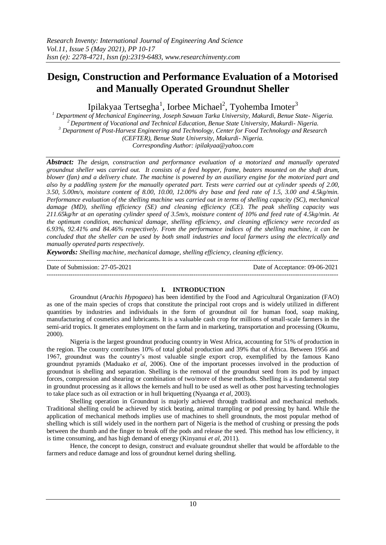# **Design, Construction and Performance Evaluation of a Motorised and Manually Operated Groundnut Sheller**

Ipilakyaa Tertsegha<sup>1</sup>, Iorbee Michael<sup>2</sup>, Tyohemba Imoter<sup>3</sup>

*<sup>1</sup> Department of Mechanical Engineering, Joseph Sawuan Tarka University, Makurdi, Benue State- Nigeria. <sup>2</sup>Department of Vocational and Technical Education, Benue State University, Makurdi- Nigeria. <sup>3</sup> Department of Post-Harvest Engineering and Technology, Center for Food Technology and Research (CEFTER), Benue State University, Makurdi- Nigeria. Corresponding Author: ipilakyaa@yahoo.com*

*Abstract: The design, construction and performance evaluation of a motorized and manually operated groundnut sheller was carried out. It consists of a feed hopper, frame, beaters mounted on the shaft drum, blower (fan) and a delivery chute. The machine is powered by an auxiliary engine for the motorized part and also by a paddling system for the manually operated part. Tests were carried out at cylinder speeds of 2.00, 3.50, 5.00m/s, moisture content of 8.00, 10.00, 12.00% dry base and feed rate of 1.5, 3.00 and 4.5kg/min. Performance evaluation of the shelling machine was carried out in terms of shelling capacity (SC), mechanical damage (MD), shelling efficiency (SE) and cleaning efficiency (CE). The peak shelling capacity was 211.65kg/hr at an operating cylinder speed of 3.5m/s, moisture content of 10% and feed rate of 4.5kg/min. At the optimum condition, mechanical damage, shelling efficiency, and cleaning efficiency were recorded as 6.93%, 92.41% and 84.46% respectively. From the performance indices of the shelling machine, it can be concluded that the sheller can be used by both small industries and local farmers using the electrically and manually operated parts respectively.* 

*Keywords: Shelling machine, mechanical damage, shelling efficiency, cleaning efficiency.* ---------------------------------------------------------------------------------------------------------------------------------------

Date of Submission: 27-05-2021 Date of Acceptance: 09-06-2021

# ---------------------------------------------------------------------------------------------------------------------------------------

# **I. INTRODUCTION**

Groundnut (*Arachis Hypogaea*) has been identified by the Food and Agricultural Organization (FAO) as one of the main species of crops that constitute the principal root crops and is widely utilized in different quantities by industries and individuals in the form of groundnut oil for human food, soap making, manufacturing of cosmetics and lubricants. It is a valuable cash crop for millions of small-scale farmers in the semi-arid tropics. It generates employment on the farm and in marketing, transportation and processing (Okumu, 2000).

Nigeria is the largest groundnut producing country in West Africa, accounting for 51% of production in the region. The country contributes 10% of total global production and 39% that of Africa. Between 1956 and 1967, groundnut was the country's most valuable single export crop, exemplified by the famous Kano groundnut pyramids (Maduako *et al*, 2006). One of the important processes involved in the production of groundnut is shelling and separation. Shelling is the removal of the groundnut seed from its pod by impact forces, compression and shearing or combination of two/more of these methods. Shelling is a fundamental step in groundnut processing as it allows the kernels and hull to be used as well as other post harvesting technologies to take place such as oil extraction or in hull briquetting (Nyaanga *et al*, 2003).

Shelling operation in Groundnut is majorly achieved through traditional and mechanical methods. Traditional shelling could be achieved by stick beating, animal trampling or pod pressing by hand. While the application of mechanical methods implies use of machines to shell groundnuts, the most popular method of shelling which is still widely used in the northern part of Nigeria is the method of crushing or pressing the pods between the thumb and the finger to break off the pods and release the seed. This method has low efficiency, it is time consuming, and has high demand of energy (Kinyanui *et al*, 2011).

Hence, the concept to design, construct and evaluate groundnut sheller that would be affordable to the farmers and reduce damage and loss of groundnut kernel during shelling.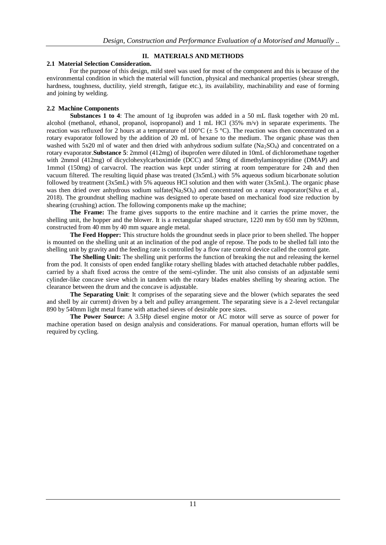# **II. MATERIALS AND METHODS**

# **2.1 Material Selection Consideration.**

For the purpose of this design, mild steel was used for most of the component and this is because of the environmental condition in which the material will function, physical and mechanical properties (shear strength, hardness, toughness, ductility, yield strength, fatigue etc.), its availability, machinability and ease of forming and joining by welding.

# **2.2 Machine Components**

**Substances 1 to 4**: The amount of 1g ibuprofen was added in a 50 mL flask together with 20 mL alcohol (methanol, ethanol, propanol, isopropanol) and 1 mL HCl (35% m/v) in separate experiments. The reaction was refluxed for 2 hours at a temperature of  $100^{\circ}C \neq 5^{\circ}C$ ). The reaction was then concentrated on a rotary evaporator followed by the addition of 20 mL of hexane to the medium. The organic phase was then washed with 5x20 ml of water and then dried with anhydrous sodium sulfate  $(Na_2SO_4)$  and concentrated on a rotary evaporator.**Substance 5**: 2mmol (412mg) of ibuprofen were diluted in 10mL of dichloromethane together with 2mmol (412mg) of dicyclohexylcarboximide (DCC) and 50mg of dimethylaminopyridine (DMAP) and 1mmol (150mg) of carvacrol. The reaction was kept under stirring at room temperature for 24h and then vacuum filtered. The resulting liquid phase was treated (3x5mL) with 5% aqueous sodium bicarbonate solution followed by treatment (3x5mL) with 5% aqueous HCl solution and then with water (3x5mL). The organic phase was then dried over anhydrous sodium sulfate(Na<sub>2</sub>SO<sub>4</sub>) and concentrated on a rotary evaporator(Silva et al., 2018). The groundnut shelling machine was designed to operate based on mechanical food size reduction by shearing (crushing) action. The following components make up the machine;

**The Frame:** The frame gives supports to the entire machine and it carries the prime mover, the shelling unit, the hopper and the blower. It is a rectangular shaped structure, 1220 mm by 650 mm by 920mm, constructed from 40 mm by 40 mm square angle metal.

**The Feed Hopper:** This structure holds the groundnut seeds in place prior to been shelled. The hopper is mounted on the shelling unit at an inclination of the pod angle of repose. The pods to be shelled fall into the shelling unit by gravity and the feeding rate is controlled by a flow rate control device called the control gate.

**The Shelling Unit:** The shelling unit performs the function of breaking the nut and releasing the kernel from the pod. It consists of open ended fanglike rotary shelling blades with attached detachable rubber paddles, carried by a shaft fixed across the centre of the semi-cylinder. The unit also consists of an adjustable semi cylinder-like concave sieve which in tandem with the rotary blades enables shelling by shearing action. The clearance between the drum and the concave is adjustable.

**The Separating Unit**: It comprises of the separating sieve and the blower (which separates the seed and shell by air current) driven by a belt and pulley arrangement. The separating sieve is a 2-level rectangular 890 by 540mm light metal frame with attached sieves of desirable pore sizes.

**The Power Source:** A 3.5Hp diesel engine motor or AC motor will serve as source of power for machine operation based on design analysis and considerations. For manual operation, human efforts will be required by cycling.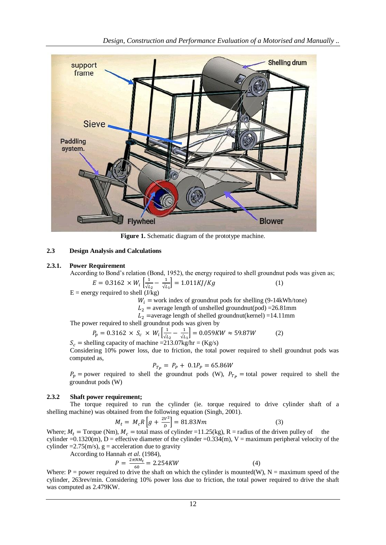

**Figure 1.** Schematic diagram of the prototype machine.

# **2.3 Design Analysis and Calculations**

# **2.3.1. Power Requirement**

According to Bond's relation (Bond, 1952), the energy required to shell groundnut pods was given as;

$$
E = 0.3162 \times W_i \left[ \frac{1}{\sqrt{L_2}} - \frac{1}{\sqrt{L_1}} \right] = 1.011KJ/Kg
$$
 (1)

 $E =$  energy required to shell  $(J/kg)$ 

 $W_i$  = work index of groundnut pods for shelling (9-14kWh/tone)

 $L_2$  = average length of unshelled groundnut(pod) =26.81mm

 $L_2$  = average length of shelled groundnut(kernel) = 14.11mm

The power required to shell groundnut pods was given by

$$
P_p = 0.3162 \times S_c \times W_i \left[ \frac{1}{\sqrt{L_2}} - \frac{1}{\sqrt{L_1}} \right] = 0.059KW \approx 59.87W
$$
 (2)  

$$
S_c = \text{shelling capacity of machine} = 213.07 \text{kg/hr} = (\text{Kg/s})
$$

Considering 10% power loss, due to friction, the total power required to shell groundnut pods was computed as,

$$
P_{T_P} = P_P + 0.1 P_P = 65.86 W
$$

 $P_p$  = power required to shell the groundnut pods (W),  $P_{T_p}$  = total power required to shell the groundnut pods (W)

# **2.3.2 Shaft power requirement;**

The torque required to run the cylinder (ie. torque required to drive cylinder shaft of a shelling machine) was obtained from the following equation (Singh, 2001).

$$
M_t = M_c R \left[ g + \frac{2V^2}{D} \right] = 81.83 Nm \tag{3}
$$

Where;  $M_t = \text{Torque (Nm)}$ ,  $M_c = \text{total mass of cylinder} = 11.25(\text{kg})$ , R = radius of the driven pulley of the cylinder  $=0.1320(m)$ , D = effective diameter of the cylinder  $=0.334(m)$ , V = maximum peripheral velocity of the cylinder  $=2.75$ (m/s), g = acceleration due to gravity

According to Hannah *et al*. (1984),

$$
P = \frac{2\pi N M_t}{60} = 2.254KW
$$
\n(4)

Where: P = power required to drive the shaft on which the cylinder is mounted(W), N = maximum speed of the cylinder, 263rev/min. Considering 10% power loss due to friction, the total power required to drive the shaft was computed as 2.479KW.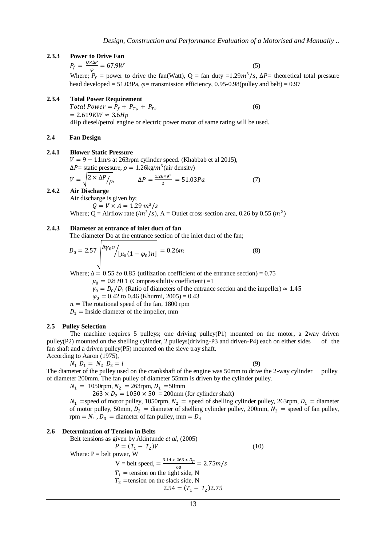#### **2.3.3 Power to Drive Fan**

 $P_f = \frac{Q}{A}$  $\frac{\Delta \Delta F}{\varphi} = 67.9W$  (5) Where;  $P_f$  = power to drive the fan(Watt), Q = fan duty =1.29 $m^3$ /s,  $\Delta P$  = theoretical total pressure head developed = 51.03Pa,  $\varphi$  = transmission efficiency, 0.95-0.98(pulley and belt) = 0.97

# **2.3.4 Total Power Requirement**

Total Power =  $P_f + P_{T_p} + P_{T_s}$  (6)  $= 2.619KW \approx 3.6Hp$ 4Hp diesel/petrol engine or electric power motor of same rating will be used.

### **2.4 Fan Design**

### **2.4.1 Blower Static Pressure**

 $V = 9 - 11$  m/s at 263rpm cylinder speed. (Khabbab et al 2015),  $\Delta P$  = static pressure,  $\rho = 1.26 \text{kg}/m^3$  (air density)

$$
V = \sqrt{2 \times \Delta P/\rho}, \qquad \Delta P = \frac{1.26 \times 9^2}{2} = 51.03 Pa \tag{7}
$$

**2.4.2 Air Discharge** Air discharge is given by;

 $Q = V \times A = 1.29 \, m^3/s$ Where; Q = Airflow rate  $(m^3/s)$ , A = Outlet cross-section area, 0.26 by 0.55  $(m^2)$ 

### **2.4.3 Diameter at entrance of inlet duct of fan**

 $\overline{1}$ 

The diameter Do at the entrance section of the inlet duct of the fan;

$$
D_0 = 2.57 \frac{\Delta \gamma_0 \nu}{\mu_0 (1 - \varphi_0) n} = 0.26 m \tag{8}
$$

Where;  $\Delta = 0.55$  to 0.85 (utilization coefficient of the entrance section) = 0.75

 $\mu_0 = 0.8 t0 1$  (Compressibility coefficient) =1

 $\gamma_0 = D_0/D_1$  (Ratio of diameters of the entrance section and the impeller)  $\approx$ 

 $\varphi_0 = 0.42$  to 0.46 (Khurmi, 2005) = 0.43

 $n =$ The rotational speed of the fan, 1800 rpm  $D_1$  = Inside diameter of the impeller, mm

#### **2.5 Pulley Selection**

The machine requires 5 pulleys; one driving pulley $(P1)$  mounted on the motor, a 2way driven pulley(P2) mounted on the shelling cylinder, 2 pulleys(driving-P3 and driven-P4) each on either sides of the fan shaft and a driven pulley(P5) mounted on the sieve tray shaft. According to Aaron (1975),

 $N_1 D_1 = N_2 D_2 = i$  (9)

The diameter of the pulley used on the crankshaft of the engine was 50mm to drive the 2-way cylinder pulley of diameter 200mm. The fan pulley of diameter 55mm is driven by the cylinder pulley.

 $N_1 = 1050$ rpm,  $N_2 = 263$ rpm,  $D_1 = 50$ mm

 $263 \times D_2 = 1050 \times 50 = 200$  mm (for cylinder shaft)

 $N_1$  =speed of motor pulley, 1050rpm,  $N_2$  = speed of shelling cylinder pulley, 263rpm,  $D_1$  = diameter of motor pulley, 50mm,  $D_2$  = diameter of shelling cylinder pulley, 200mm,  $N_3$  = speed of fan pulley, rpm =  $N_4$ ,  $D_3$  = diameter of fan pulley, mm

#### **2.6 Determination of Tension in Belts**

Belt tensions as given by Akintunde *et al.* (2005)

\n
$$
P = (T_1 - T_2)V
$$
\nWhere: P = belt power, W

\n
$$
V = belt speed, = \frac{3.14 \times 263 \times D_p}{60} = 2.75 \, \text{m/s}
$$
\n
$$
T_1 = \text{tension on the tight side, N}
$$
\n
$$
T_2 = \text{tension on the slack side, N}
$$
\n
$$
2.54 = (T_1 - T_2)2.75
$$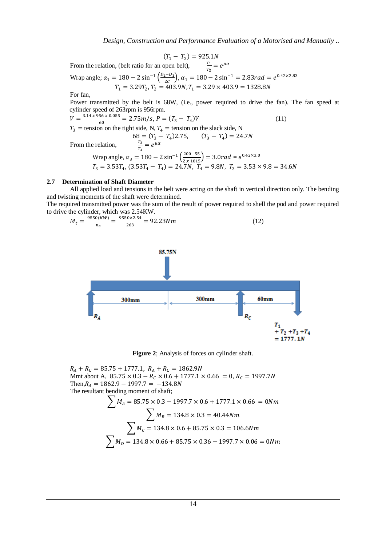$$
(T_1 - T_2) = 925.1N
$$
  

$$
T_1
$$

From the relation, (belt ratio for an open belt),  $\frac{I_1}{T_2} = e^{\mu}$ 

Wrap angle;  $\alpha_1 = 180 - 2 \sin^{-1} \left(\frac{D}{2}\right)$  $\left(\frac{2e^{-D_1}}{2c}\right)$ ,  $\alpha_1 = 180 - 2 \sin^{-1} = 2.83$ rad =  $e^{0}$  $T_1 = 3.29T_2,$ 

For fan,

Power transmitted by the belt is 68W, (i.e., power required to drive the fan). The fan speed at cylinder speed of 263rpm is 956rpm.

$$
V = \frac{3.14 \times 956 \times 0.055}{60} = 2.75 m/s, P = (T_3 - T_4)V
$$
\n(11)

 $T_3$  = tension on the tight side, N,  $T_4$  = tension on the slack side, N  $68 = (T_3 - T_4)2.75,$   $(T_3 - T_4)$ 

From the relation,  $\frac{T_3}{T_4} = e^{\mu}$ 

$$
\begin{aligned} \n\text{Wrap angle, } \alpha_3 &= 180 - 2\sin^{-1}\left(\frac{200 - 55}{2 \times 1015}\right) = 3.0 \, \text{rad} = e^{0.42 \times 3.0} \\ \nT_3 &= 3.53 \, T_4, \, (3.53 \, T_4 - T_4) = 24.7 \, N, \, T_4 = 9.8 \, N, \, T_3 = 3.53 \times 9.8 = 34.6 \, N \n\end{aligned}
$$

### **2.7 Determination of Shaft Diameter**

All applied load and tensions in the belt were acting on the shaft in vertical direction only. The bending and twisting moments of the shaft were determined.

The required transmitted power was the sum of the result of power required to shell the pod and power required to drive the cylinder, which was 2.54KW.

$$
M_t = \frac{9550(KW)}{n_s} = \frac{9550 \times 2.54}{263} = 92.23Nm \tag{12}
$$



**Figure 2**; Analysis of forces on cylinder shaft.

 $R_A + R_C = 85.75 + 1777.1,$ Mmt about A,  $85.75 \times 0.3 - R_c \times 0.6 + 1777.1 \times 0.66 = 0$ , Then,  $R_A = 1862.9 - 1997.7 = -134.8N$ The resultant bending moment of shaft;

$$
\sum M_A = 85.75 \times 0.3 - 1997.7 \times 0.6 + 1777.1 \times 0.66 = 0 Nm
$$
  

$$
\sum M_B = 134.8 \times 0.3 = 40.44 Nm
$$
  

$$
\sum M_C = 134.8 \times 0.6 + 85.75 \times 0.3 = 106.6 Nm
$$
  

$$
\sum M_D = 134.8 \times 0.66 + 85.75 \times 0.36 - 1997.7 \times 0.06 = 0 Nm
$$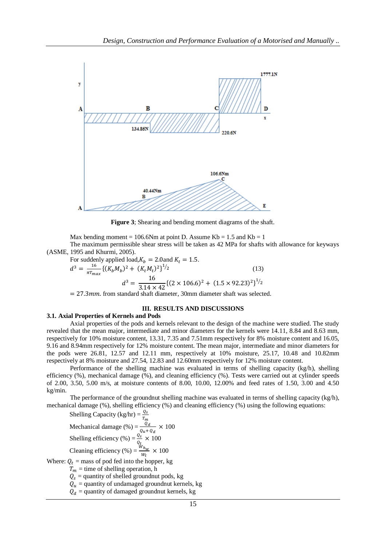

**Figure 3**; Shearing and bending moment diagrams of the shaft.

Max bending moment = 106.6Nm at point D. Assume  $Kb = 1.5$  and  $Kb = 1$ The maximum permissible shear stress will be taken as 42 MPa for shafts with allowance for keyways

(ASME, 1995 and Khurmi, 2005).

For suddenly applied load,  $K_h = 2.0$  and  $K_t = 1.5$ .  $d^3 = \frac{1}{x}$  $\frac{16}{\pi T_{max}} \{ (K_b M_b)^2 + (K_t M_t)^2 \}^{1/2}$ (13)  $d^3 = \frac{1}{2.14}$  $\frac{16}{3.14 \times 42} \{ (2 \times 106.6)^2 + (1.5 \times 92.23)^2 \}^{1/2}$ 

 $f = 27.3$ mm. from standard shaft diameter, 30mm diameter shaft was selected.

# **III. RESULTS AND DISCUSSIONS**

### **3.1. Axial Properties of Kernels and Pods**

Axial properties of the pods and kernels relevant to the design of the machine were studied. The study revealed that the mean major, intermediate and minor diameters for the kernels were 14.11, 8.84 and 8.63 mm, respectively for 10% moisture content, 13.31, 7.35 and 7.51mm respectively for 8% moisture content and 16.05, 9.16 and 8.94mm respectively for 12% moisture content. The mean major, intermediate and minor diameters for the pods were 26.81, 12.57 and 12.11 mm, respectively at 10% moisture, 25.17, 10.48 and 10.82mm respectively at 8% moisture and 27.54, 12.83 and 12.60mm respectively for 12% moisture content.

Performance of the shelling machine was evaluated in terms of shelling capacity (kg/h), shelling efficiency (%), mechanical damage (%), and cleaning efficiency (%). Tests were carried out at cylinder speeds of 2.00, 3.50, 5.00 m/s, at moisture contents of 8.00, 10.00, 12.00% and feed rates of 1.50, 3.00 and 4.50 kg/min.

The performance of the groundnut shelling machine was evaluated in terms of shelling capacity (kg/h), mechanical damage (%), shelling efficiency (%) and cleaning efficiency (%) using the following equations:

Shelling Capacity (kg/hr) =  $\frac{Q}{T}$ Mechanical damage (%) =  $\frac{Q_d}{Q_u + Q_d} \times 100$ Shelling efficiency (%) =  $\frac{q_s}{q_t} \times 100$ Cleaning efficiency (%) =  $\frac{w}{x}$  $\frac{v_{n_W}}{W_t} \times 100$ Where:  $Q_t$  = mass of pod fed into the hopper, kg  $T_m$  = time of shelling operation, h

 $Q_s$  = quantity of shelled groundnut pods, kg  $Q_u$  = quantity of undamaged groundnut kernels, kg  $Q_d$  = quantity of damaged groundnut kernels, kg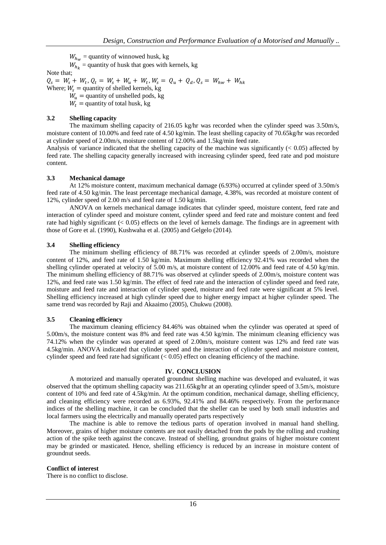$W_{h_{\alpha}}$  = quantity of winnowed husk, kg

 $W_{h_k}$  = quantity of husk that goes with kernels, kg

Note that;

 $Q_s = W_s + W_t, Q_t = W_s + W_u + W_t, W_s = Q_u + Q_d,$ 

Where;  $W_s$  = quantity of shelled kernels, kg  $W_u$  = quantity of unshelled pods, kg

 $W_t$  = quantity of total husk, kg

# **3.2 Shelling capacity**

The maximum shelling capacity of 216.05 kg/hr was recorded when the cylinder speed was 3.50m/s, moisture content of 10.00% and feed rate of 4.50 kg/min. The least shelling capacity of 70.65kg/hr was recorded at cylinder speed of 2.00m/s, moisture content of 12.00% and 1.5kg/min feed rate.

Analysis of variance indicated that the shelling capacity of the machine was significantly  $(< 0.05)$  affected by feed rate. The shelling capacity generally increased with increasing cylinder speed, feed rate and pod moisture content.

# **3.3 Mechanical damage**

At 12% moisture content, maximum mechanical damage (6.93%) occurred at cylinder speed of 3.50m/s feed rate of 4.50 kg/min. The least percentage mechanical damage, 4.38%, was recorded at moisture content of 12%, cylinder speed of 2.00 m/s and feed rate of 1.50 kg/min.

ANOVA on kernels mechanical damage indicates that cylinder speed, moisture content, feed rate and interaction of cylinder speed and moisture content, cylinder speed and feed rate and moisture content and feed rate had highly significant (< 0.05) effects on the level of kernels damage. The findings are in agreement with those of Gore et al. (1990), Kushwaha et al. (2005) and Gelgelo (2014).

# **3.4 Shelling efficiency**

The minimum shelling efficiency of 88.71% was recorded at cylinder speeds of 2.00m/s, moisture content of 12%, and feed rate of 1.50 kg/min. Maximum shelling efficiency 92.41% was recorded when the shelling cylinder operated at velocity of 5.00 m/s, at moisture content of 12.00% and feed rate of 4.50 kg/min. The minimum shelling efficiency of 88.71% was observed at cylinder speeds of 2.00m/s, moisture content was 12%, and feed rate was 1.50 kg/min. The effect of feed rate and the interaction of cylinder speed and feed rate, moisture and feed rate and interaction of cylinder speed, moisture and feed rate were significant at 5% level. Shelling efficiency increased at high cylinder speed due to higher energy impact at higher cylinder speed. The same trend was recorded by Raji and Akaaimo (2005), Chukwu (2008).

### **3.5 Cleaning efficiency**

The maximum cleaning efficiency 84.46% was obtained when the cylinder was operated at speed of 5.00m/s, the moisture content was 8% and feed rate was 4.50 kg/min. The minimum cleaning efficiency was 74.12% when the cylinder was operated at speed of 2.00m/s, moisture content was 12% and feed rate was 4.5kg/min. ANOVA indicated that cylinder speed and the interaction of cylinder speed and moisture content, cylinder speed and feed rate had significant (< 0.05) effect on cleaning efficiency of the machine.

### **IV. CONCLUSION**

A motorized and manually operated groundnut shelling machine was developed and evaluated, it was observed that the optimum shelling capacity was 211.65kg/hr at an operating cylinder speed of 3.5m/s, moisture content of 10% and feed rate of 4.5kg/min. At the optimum condition, mechanical damage, shelling efficiency, and cleaning efficiency were recorded as 6.93%, 92.41% and 84.46% respectively. From the performance indices of the shelling machine, it can be concluded that the sheller can be used by both small industries and local farmers using the electrically and manually operated parts respectively

The machine is able to remove the tedious parts of operation involved in manual hand shelling. Moreover, grains of higher moisture contents are not easily detached from the pods by the rolling and crushing action of the spike teeth against the concave. Instead of shelling, groundnut grains of higher moisture content may be grinded or masticated. Hence, shelling efficiency is reduced by an increase in moisture content of groundnut seeds.

### **Conflict of interest**

There is no conflict to disclose.